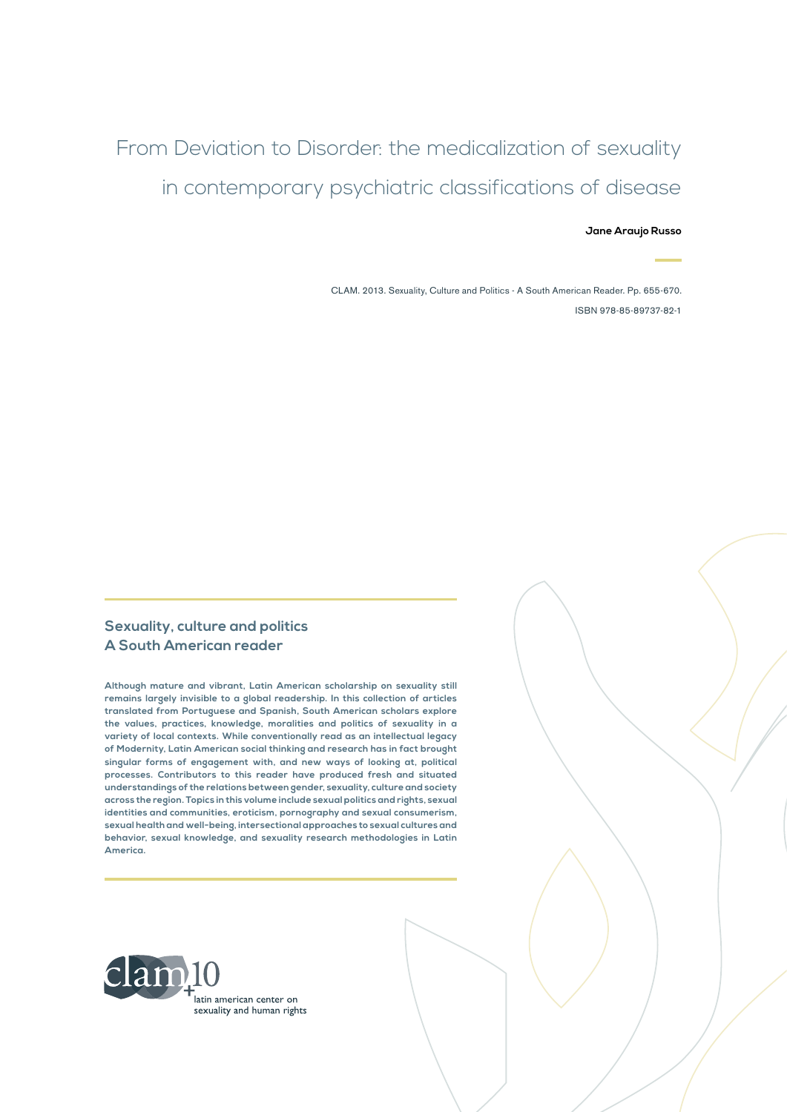# From Deviation to Disorder: the medicalization of sexuality in contemporary psychiatric classifications of disease

#### **Jane Araujo Russo**

CLAM. 2013. Sexuality, Culture and Politics - A South American Reader. Pp. 655-670. ISBN 978-85-89737-82-1

### **Sexuality, culture and politics A South American reader**

**Although mature and vibrant, Latin American scholarship on sexuality still remains largely invisible to a global readership. In this collection of articles translated from Portuguese and Spanish, South American scholars explore the values, practices, knowledge, moralities and politics of sexuality in a variety of local contexts. While conventionally read as an intellectual legacy of Modernity, Latin American social thinking and research has in fact brought singular forms of engagement with, and new ways of looking at, political processes. Contributors to this reader have produced fresh and situated understandings of the relations between gender, sexuality, culture and society across the region. Topics in this volume include sexual politics and rights, sexual identities and communities, eroticism, pornography and sexual consumerism, sexual health and well-being, intersectional approaches to sexual cultures and behavior, sexual knowledge, and sexuality research methodologies in Latin America.**

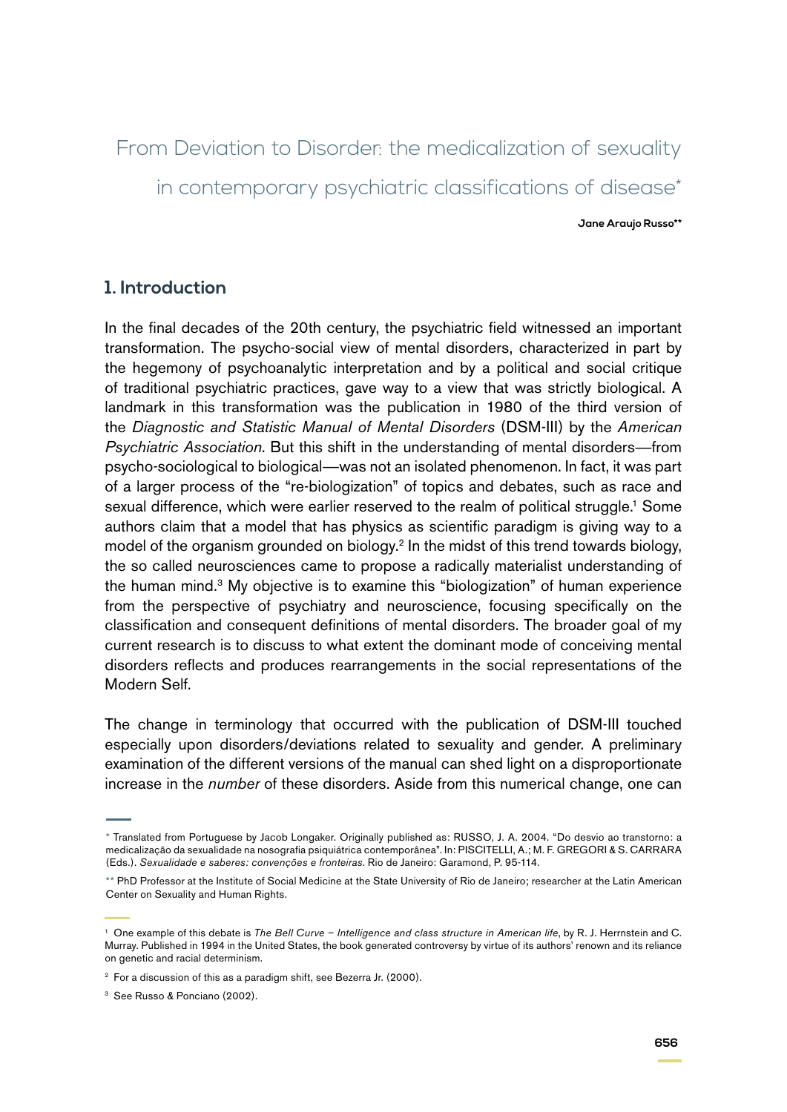From Deviation to Disorder: the medicalization of sexuality in contemporary psychiatric classifications of disease<sup>\*</sup>

**Jane Araujo Russo\*\***

# **1. Introduction**

In the final decades of the 20th century, the psychiatric field witnessed an important transformation. The psycho-social view of mental disorders, characterized in part by the hegemony of psychoanalytic interpretation and by a political and social critique of traditional psychiatric practices, gave way to a view that was strictly biological. A landmark in this transformation was the publication in 1980 of the third version of the *Diagnostic and Statistic Manual of Mental Disorders* (DSM-III) by the *American Psychiatric Association*. But this shift in the understanding of mental disorders—from psycho-sociological to biological—was not an isolated phenomenon. In fact, it was part of a larger process of the "re-biologization" of topics and debates, such as race and sexual difference, which were earlier reserved to the realm of political struggle.<sup>1</sup> Some authors claim that a model that has physics as scientific paradigm is giving way to a model of the organism grounded on biology.<sup>2</sup> In the midst of this trend towards biology, the so called neurosciences came to propose a radically materialist understanding of the human mind.<sup>3</sup> My objective is to examine this "biologization" of human experience from the perspective of psychiatry and neuroscience, focusing specifically on the classification and consequent definitions of mental disorders. The broader goal of my current research is to discuss to what extent the dominant mode of conceiving mental disorders reflects and produces rearrangements in the social representations of the Modern Self.

The change in terminology that occurred with the publication of DSM-III touched especially upon disorders/deviations related to sexuality and gender. A preliminary examination of the different versions of the manual can shed light on a disproportionate increase in the *number* of these disorders. Aside from this numerical change, one can

<sup>3</sup> See Russo & Ponciano (2002).

<sup>\*</sup> Translated from Portuguese by Jacob Longaker. Originally published as: RUSSO, J. A. 2004. "Do desvio ao transtorno: a medicalização da sexualidade na nosografia psiquiátrica contemporânea". In: PISCITELLI, A.; M. F. GREGORI & S. CARRARA (Eds.). *Sexualidade e saberes: convenções e fronteiras*. Rio de Janeiro: Garamond, P. 95-114.

<sup>\*\*</sup> PhD Professor at the Institute of Social Medicine at the State University of Rio de Janeiro; researcher at the Latin American Center on Sexuality and Human Rights.

<sup>1</sup> One example of this debate is *The Bell Curve – Intelligence and class structure in American life*, by R. J. Herrnstein and C. Murray. Published in 1994 in the United States, the book generated controversy by virtue of its authors' renown and its reliance on genetic and racial determinism.

<sup>&</sup>lt;sup>2</sup> For a discussion of this as a paradigm shift, see Bezerra Jr. (2000).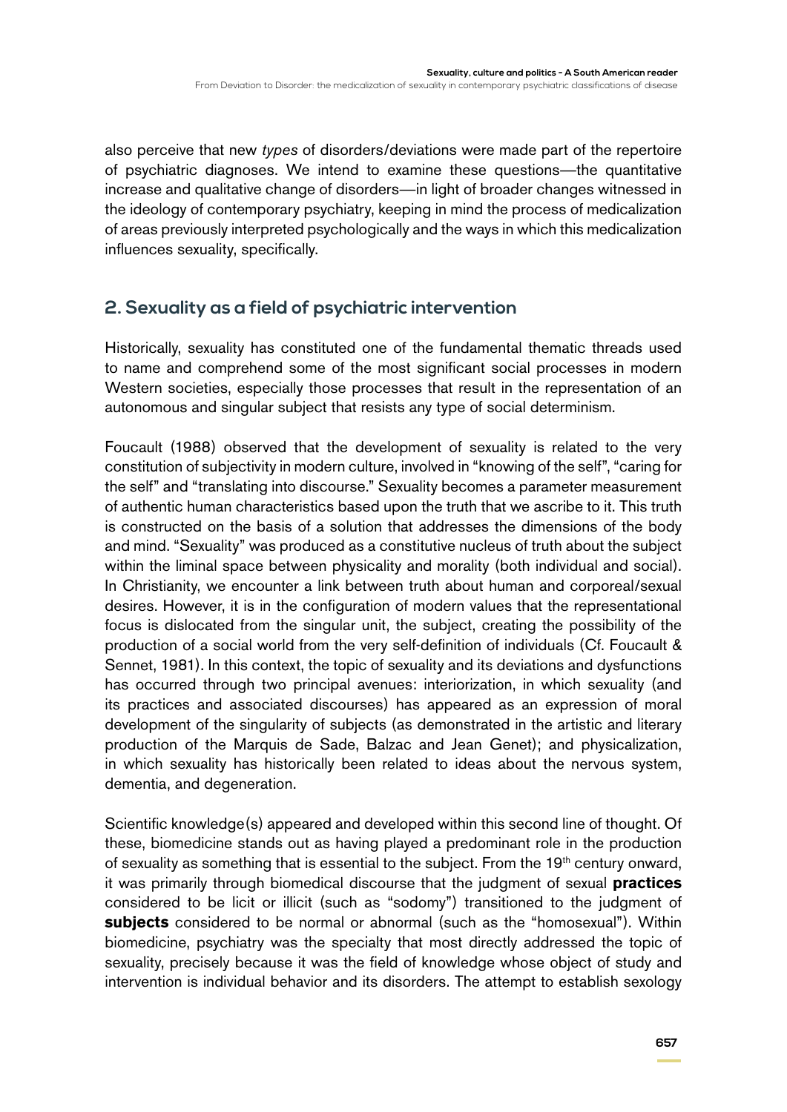also perceive that new *types* of disorders/deviations were made part of the repertoire of psychiatric diagnoses. We intend to examine these questions—the quantitative increase and qualitative change of disorders—in light of broader changes witnessed in the ideology of contemporary psychiatry, keeping in mind the process of medicalization of areas previously interpreted psychologically and the ways in which this medicalization influences sexuality, specifically.

# **2. Sexuality as a field of psychiatric intervention**

Historically, sexuality has constituted one of the fundamental thematic threads used to name and comprehend some of the most significant social processes in modern Western societies, especially those processes that result in the representation of an autonomous and singular subject that resists any type of social determinism.

Foucault (1988) observed that the development of sexuality is related to the very constitution of subjectivity in modern culture, involved in "knowing of the self", "caring for the self" and "translating into discourse." Sexuality becomes a parameter measurement of authentic human characteristics based upon the truth that we ascribe to it. This truth is constructed on the basis of a solution that addresses the dimensions of the body and mind. "Sexuality" was produced as a constitutive nucleus of truth about the subject within the liminal space between physicality and morality (both individual and social). In Christianity, we encounter a link between truth about human and corporeal/sexual desires. However, it is in the configuration of modern values that the representational focus is dislocated from the singular unit, the subject, creating the possibility of the production of a social world from the very self-definition of individuals (Cf. Foucault & Sennet, 1981). In this context, the topic of sexuality and its deviations and dysfunctions has occurred through two principal avenues: interiorization, in which sexuality (and its practices and associated discourses) has appeared as an expression of moral development of the singularity of subjects (as demonstrated in the artistic and literary production of the Marquis de Sade, Balzac and Jean Genet); and physicalization, in which sexuality has historically been related to ideas about the nervous system, dementia, and degeneration.

Scientific knowledge(s) appeared and developed within this second line of thought. Of these, biomedicine stands out as having played a predominant role in the production of sexuality as something that is essential to the subject. From the 19<sup>th</sup> century onward, it was primarily through biomedical discourse that the judgment of sexual **practices** considered to be licit or illicit (such as "sodomy") transitioned to the judgment of **subjects** considered to be normal or abnormal (such as the "homosexual"). Within biomedicine, psychiatry was the specialty that most directly addressed the topic of sexuality, precisely because it was the field of knowledge whose object of study and intervention is individual behavior and its disorders. The attempt to establish sexology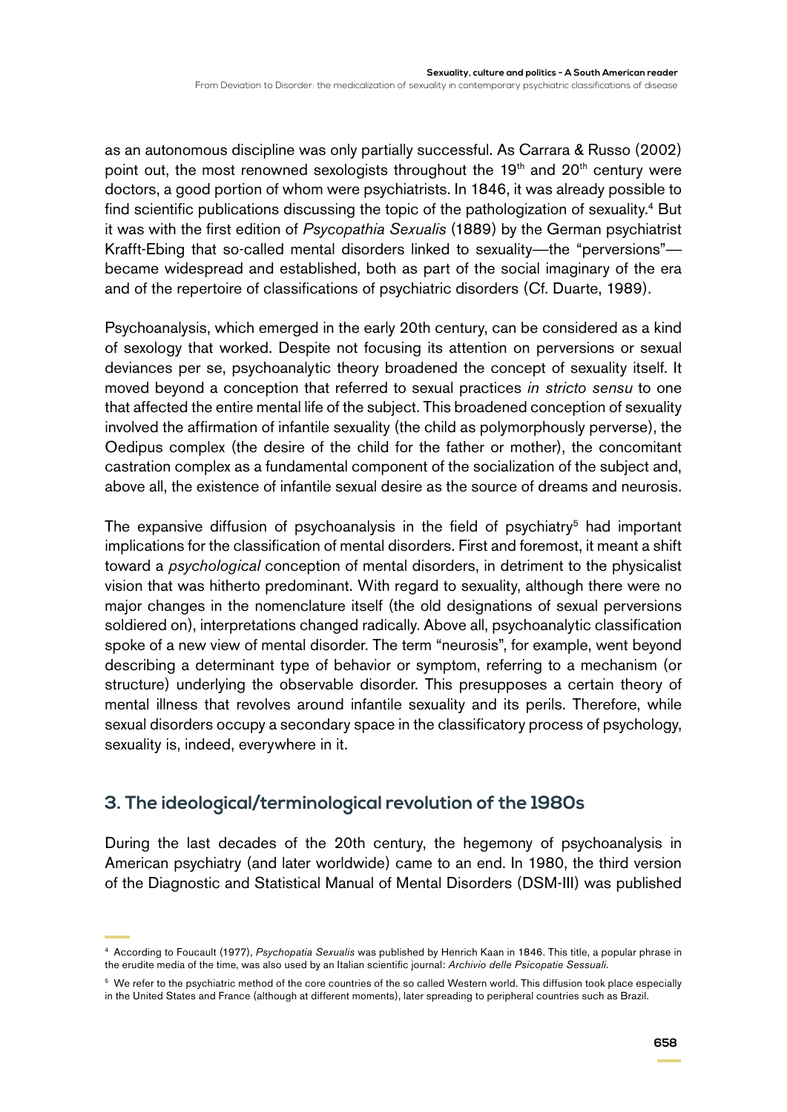as an autonomous discipline was only partially successful. As Carrara & Russo (2002) point out, the most renowned sexologists throughout the  $19<sup>th</sup>$  and  $20<sup>th</sup>$  century were doctors, a good portion of whom were psychiatrists. In 1846, it was already possible to find scientific publications discussing the topic of the pathologization of sexuality.<sup>4</sup> But it was with the first edition of *Psycopathia Sexualis* (1889) by the German psychiatrist Krafft-Ebing that so-called mental disorders linked to sexuality—the "perversions" became widespread and established, both as part of the social imaginary of the era and of the repertoire of classifications of psychiatric disorders (Cf. Duarte, 1989).

Psychoanalysis, which emerged in the early 20th century, can be considered as a kind of sexology that worked. Despite not focusing its attention on perversions or sexual deviances per se, psychoanalytic theory broadened the concept of sexuality itself. It moved beyond a conception that referred to sexual practices *in stricto sensu* to one that affected the entire mental life of the subject. This broadened conception of sexuality involved the affirmation of infantile sexuality (the child as polymorphously perverse), the Oedipus complex (the desire of the child for the father or mother), the concomitant castration complex as a fundamental component of the socialization of the subject and, above all, the existence of infantile sexual desire as the source of dreams and neurosis.

The expansive diffusion of psychoanalysis in the field of psychiatry<sup>5</sup> had important implications for the classification of mental disorders. First and foremost, it meant a shift toward a *psychological* conception of mental disorders, in detriment to the physicalist vision that was hitherto predominant. With regard to sexuality, although there were no major changes in the nomenclature itself (the old designations of sexual perversions soldiered on), interpretations changed radically. Above all, psychoanalytic classification spoke of a new view of mental disorder. The term "neurosis", for example, went beyond describing a determinant type of behavior or symptom, referring to a mechanism (or structure) underlying the observable disorder. This presupposes a certain theory of mental illness that revolves around infantile sexuality and its perils. Therefore, while sexual disorders occupy a secondary space in the classificatory process of psychology, sexuality is, indeed, everywhere in it.

# **3. The ideological/terminological revolution of the 1980s**

During the last decades of the 20th century, the hegemony of psychoanalysis in American psychiatry (and later worldwide) came to an end. In 1980, the third version of the Diagnostic and Statistical Manual of Mental Disorders (DSM-III) was published

<sup>4</sup> According to Foucault (1977), *Psychopatia Sexualis* was published by Henrich Kaan in 1846. This title, a popular phrase in the erudite media of the time, was also used by an Italian scientific journal: *Archivio delle Psicopatie Sessuali.*

<sup>&</sup>lt;sup>5</sup> We refer to the psychiatric method of the core countries of the so called Western world. This diffusion took place especially in the United States and France (although at different moments), later spreading to peripheral countries such as Brazil.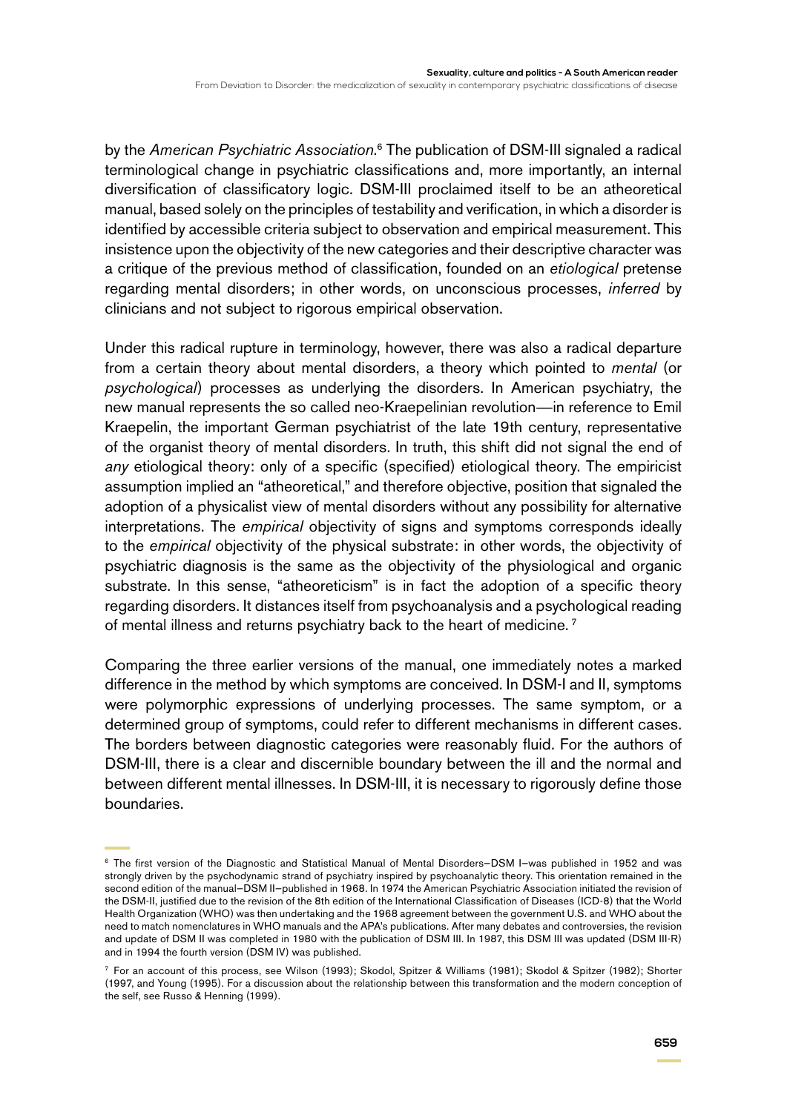by the American Psychiatric Association.<sup>6</sup> The publication of DSM-III signaled a radical terminological change in psychiatric classifications and, more importantly, an internal diversification of classificatory logic. DSM-III proclaimed itself to be an atheoretical manual, based solely on the principles of testability and verification, in which a disorder is identified by accessible criteria subject to observation and empirical measurement. This insistence upon the objectivity of the new categories and their descriptive character was a critique of the previous method of classification, founded on an *etiological* pretense regarding mental disorders; in other words, on unconscious processes, *inferred* by clinicians and not subject to rigorous empirical observation.

Under this radical rupture in terminology, however, there was also a radical departure from a certain theory about mental disorders, a theory which pointed to *mental* (or *psychological*) processes as underlying the disorders. In American psychiatry, the new manual represents the so called neo-Kraepelinian revolution—in reference to Emil Kraepelin, the important German psychiatrist of the late 19th century, representative of the organist theory of mental disorders. In truth, this shift did not signal the end of *any* etiological theory: only of a specific (specified) etiological theory. The empiricist assumption implied an "atheoretical," and therefore objective, position that signaled the adoption of a physicalist view of mental disorders without any possibility for alternative interpretations. The *empirical* objectivity of signs and symptoms corresponds ideally to the *empirical* objectivity of the physical substrate: in other words, the objectivity of psychiatric diagnosis is the same as the objectivity of the physiological and organic substrate. In this sense, "atheoreticism" is in fact the adoption of a specific theory regarding disorders. It distances itself from psychoanalysis and a psychological reading of mental illness and returns psychiatry back to the heart of medicine.<sup>7</sup>

Comparing the three earlier versions of the manual, one immediately notes a marked difference in the method by which symptoms are conceived. In DSM-I and II, symptoms were polymorphic expressions of underlying processes. The same symptom, or a determined group of symptoms, could refer to different mechanisms in different cases. The borders between diagnostic categories were reasonably fluid. For the authors of DSM-III, there is a clear and discernible boundary between the ill and the normal and between different mental illnesses. In DSM-III, it is necessary to rigorously define those boundaries.

<sup>6</sup> The first version of the Diagnostic and Statistical Manual of Mental Disorders—DSM I—was published in 1952 and was strongly driven by the psychodynamic strand of psychiatry inspired by psychoanalytic theory. This orientation remained in the second edition of the manual—DSM II—published in 1968. In 1974 the American Psychiatric Association initiated the revision of the DSM-II, justified due to the revision of the 8th edition of the International Classification of Diseases (ICD-8) that the World Health Organization (WHO) was then undertaking and the 1968 agreement between the government U.S. and WHO about the need to match nomenclatures in WHO manuals and the APA's publications. After many debates and controversies, the revision and update of DSM II was completed in 1980 with the publication of DSM III. In 1987, this DSM III was updated (DSM III-R) and in 1994 the fourth version (DSM IV) was published.

<sup>7</sup> For an account of this process, see Wilson (1993); Skodol, Spitzer & Williams (1981); Skodol & Spitzer (1982); Shorter (1997, and Young (1995). For a discussion about the relationship between this transformation and the modern conception of the self, see Russo & Henning (1999).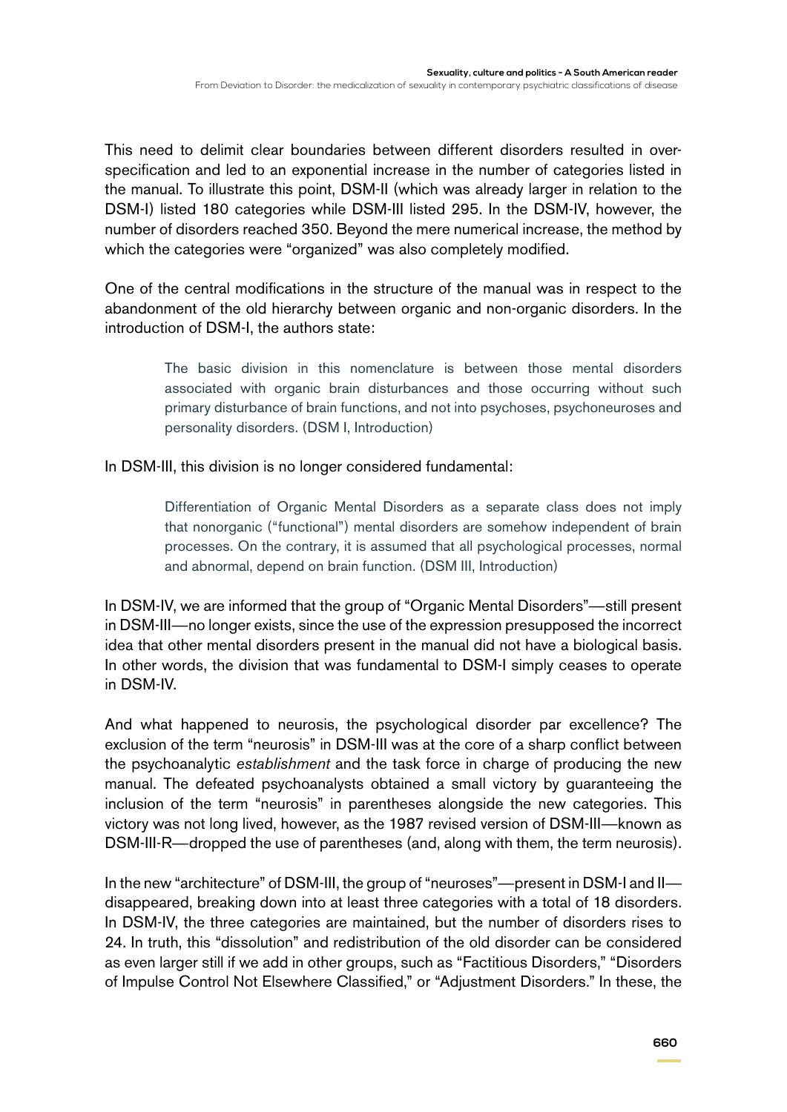This need to delimit clear boundaries between different disorders resulted in overspecification and led to an exponential increase in the number of categories listed in the manual. To illustrate this point, DSM-II (which was already larger in relation to the DSM-I) listed 180 categories while DSM-III listed 295. In the DSM-IV, however, the number of disorders reached 350. Beyond the mere numerical increase, the method by which the categories were "organized" was also completely modified.

One of the central modifications in the structure of the manual was in respect to the abandonment of the old hierarchy between organic and non-organic disorders. In the introduction of DSM-I, the authors state:

> The basic division in this nomenclature is between those mental disorders associated with organic brain disturbances and those occurring without such primary disturbance of brain functions, and not into psychoses, psychoneuroses and personality disorders. (DSM I, Introduction)

In DSM-III, this division is no longer considered fundamental:

Differentiation of Organic Mental Disorders as a separate class does not imply that nonorganic ("functional") mental disorders are somehow independent of brain processes. On the contrary, it is assumed that all psychological processes, normal and abnormal, depend on brain function. (DSM III, Introduction)

In DSM-IV, we are informed that the group of "Organic Mental Disorders"—still present in DSM-III—no longer exists, since the use of the expression presupposed the incorrect idea that other mental disorders present in the manual did not have a biological basis. In other words, the division that was fundamental to DSM-I simply ceases to operate in DSM-IV.

And what happened to neurosis, the psychological disorder par excellence? The exclusion of the term "neurosis" in DSM-III was at the core of a sharp conflict between the psychoanalytic *establishment* and the task force in charge of producing the new manual. The defeated psychoanalysts obtained a small victory by guaranteeing the inclusion of the term "neurosis" in parentheses alongside the new categories. This victory was not long lived, however, as the 1987 revised version of DSM-III—known as DSM-III-R—dropped the use of parentheses (and, along with them, the term neurosis).

In the new "architecture" of DSM-III, the group of "neuroses"—present in DSM-I and II disappeared, breaking down into at least three categories with a total of 18 disorders. In DSM-IV, the three categories are maintained, but the number of disorders rises to 24. In truth, this "dissolution" and redistribution of the old disorder can be considered as even larger still if we add in other groups, such as "Factitious Disorders," "Disorders of Impulse Control Not Elsewhere Classified," or "Adjustment Disorders." In these, the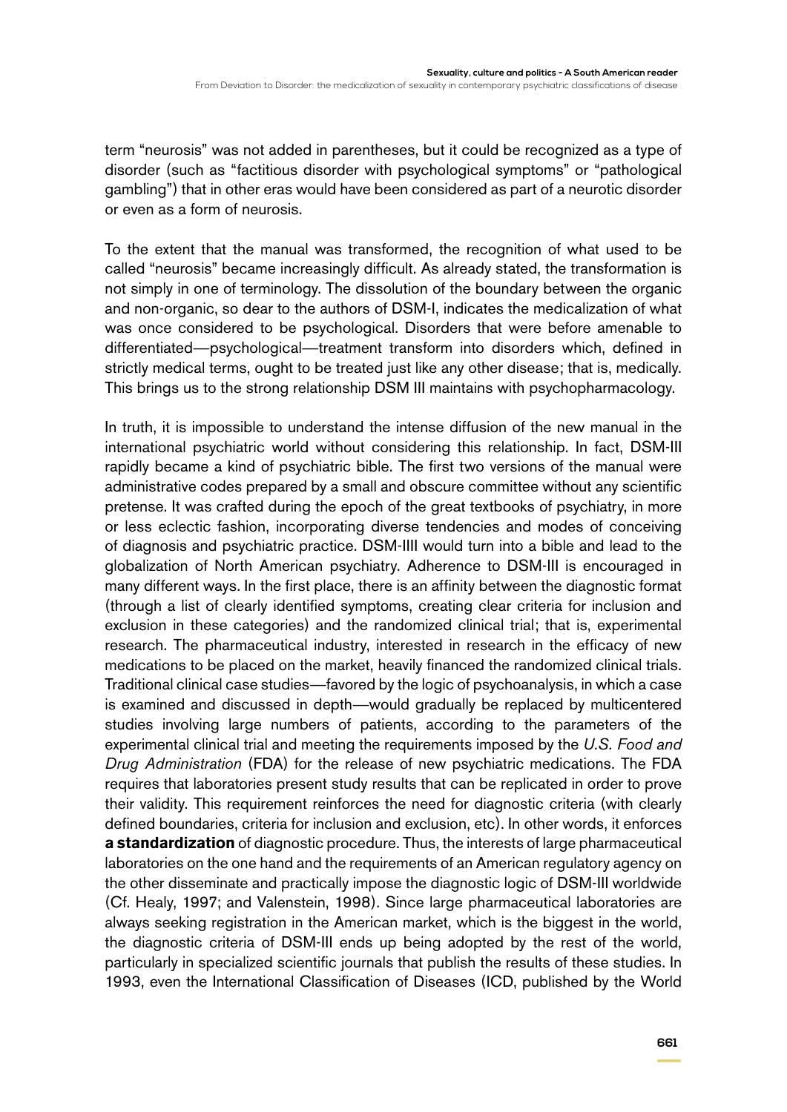term "neurosis" was not added in parentheses, but it could be recognized as a type of disorder (such as "factitious disorder with psychological symptoms" or "pathological gambling") that in other eras would have been considered as part of a neurotic disorder or even as a form of neurosis.

To the extent that the manual was transformed, the recognition of what used to be called "neurosis" became increasingly difficult. As already stated, the transformation is not simply in one of terminology. The dissolution of the boundary between the organic and non-organic, so dear to the authors of DSM-I, indicates the medicalization of what was once considered to be psychological. Disorders that were before amenable to differentiated—psychological—treatment transform into disorders which, defined in strictly medical terms, ought to be treated just like any other disease; that is, medically. This brings us to the strong relationship DSM III maintains with psychopharmacology.

In truth, it is impossible to understand the intense diffusion of the new manual in the international psychiatric world without considering this relationship. In fact, DSM-III rapidly became a kind of psychiatric bible. The first two versions of the manual were administrative codes prepared by a small and obscure committee without any scientific pretense. It was crafted during the epoch of the great textbooks of psychiatry, in more or less eclectic fashion, incorporating diverse tendencies and modes of conceiving of diagnosis and psychiatric practice. DSM-IIII would turn into a bible and lead to the globalization of North American psychiatry. Adherence to DSM-III is encouraged in many different ways. In the first place, there is an affinity between the diagnostic format (through a list of clearly identified symptoms, creating clear criteria for inclusion and exclusion in these categories) and the randomized clinical trial; that is, experimental research. The pharmaceutical industry, interested in research in the efficacy of new medications to be placed on the market, heavily financed the randomized clinical trials. Traditional clinical case studies—favored by the logic of psychoanalysis, in which a case is examined and discussed in depth—would gradually be replaced by multicentered studies involving large numbers of patients, according to the parameters of the experimental clinical trial and meeting the requirements imposed by the *U.S. Food and Drug Administration* (FDA) for the release of new psychiatric medications. The FDA requires that laboratories present study results that can be replicated in order to prove their validity. This requirement reinforces the need for diagnostic criteria (with clearly defined boundaries, criteria for inclusion and exclusion, etc). In other words, it enforces **a standardization** of diagnostic procedure. Thus, the interests of large pharmaceutical laboratories on the one hand and the requirements of an American regulatory agency on the other disseminate and practically impose the diagnostic logic of DSM-III worldwide (Cf. Healy, 1997; and Valenstein, 1998). Since large pharmaceutical laboratories are always seeking registration in the American market, which is the biggest in the world, the diagnostic criteria of DSM-III ends up being adopted by the rest of the world, particularly in specialized scientific journals that publish the results of these studies. In 1993, even the International Classification of Diseases (ICD, published by the World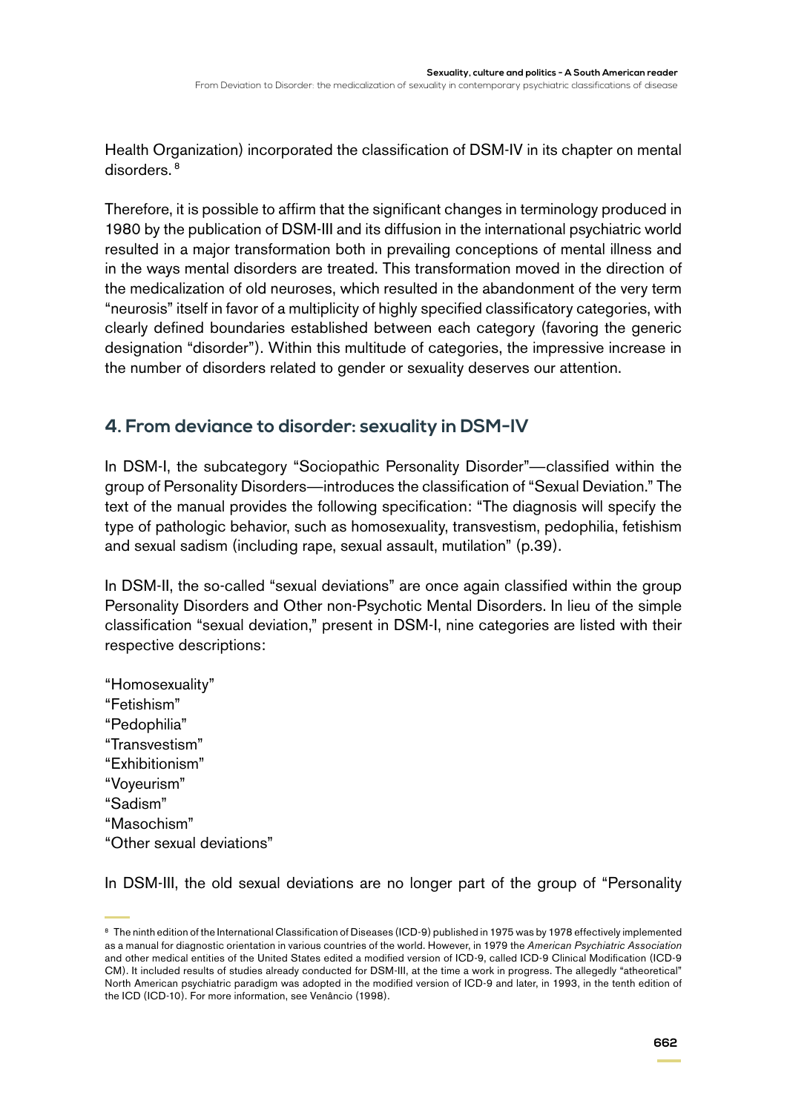Health Organization) incorporated the classification of DSM-IV in its chapter on mental disorders. 8

Therefore, it is possible to affirm that the significant changes in terminology produced in 1980 by the publication of DSM-III and its diffusion in the international psychiatric world resulted in a major transformation both in prevailing conceptions of mental illness and in the ways mental disorders are treated. This transformation moved in the direction of the medicalization of old neuroses, which resulted in the abandonment of the very term "neurosis" itself in favor of a multiplicity of highly specified classificatory categories, with clearly defined boundaries established between each category (favoring the generic designation "disorder"). Within this multitude of categories, the impressive increase in the number of disorders related to gender or sexuality deserves our attention.

# **4. From deviance to disorder: sexuality in DSM-IV**

In DSM-I, the subcategory "Sociopathic Personality Disorder"—classified within the group of Personality Disorders—introduces the classification of "Sexual Deviation." The text of the manual provides the following specification: "The diagnosis will specify the type of pathologic behavior, such as homosexuality, transvestism, pedophilia, fetishism and sexual sadism (including rape, sexual assault, mutilation" (p.39).

In DSM-II, the so-called "sexual deviations" are once again classified within the group Personality Disorders and Other non-Psychotic Mental Disorders. In lieu of the simple classification "sexual deviation," present in DSM-I, nine categories are listed with their respective descriptions:

"Homosexuality" "Fetishism" "Pedophilia" "Transvestism" "Exhibitionism" "Voyeurism" "Sadism" "Masochism" "Other sexual deviations"

In DSM-III, the old sexual deviations are no longer part of the group of "Personality"

<sup>&</sup>lt;sup>8</sup> The ninth edition of the International Classification of Diseases (ICD-9) published in 1975 was by 1978 effectively implemented as a manual for diagnostic orientation in various countries of the world. However, in 1979 the *American Psychiatric Association*  and other medical entities of the United States edited a modified version of ICD-9, called ICD-9 Clinical Modification (ICD-9 CM). It included results of studies already conducted for DSM-III, at the time a work in progress. The allegedly "atheoretical" North American psychiatric paradigm was adopted in the modified version of ICD-9 and later, in 1993, in the tenth edition of the ICD (ICD-10). For more information, see Venâncio (1998).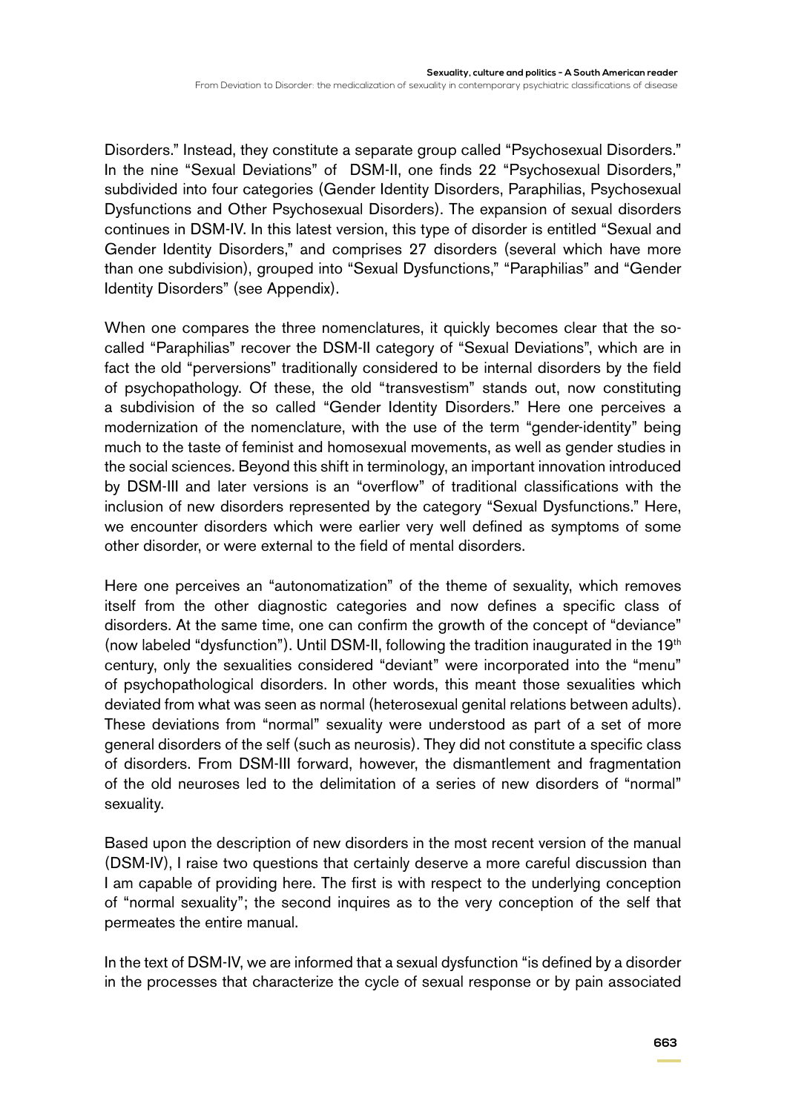Disorders." Instead, they constitute a separate group called "Psychosexual Disorders." In the nine "Sexual Deviations" of DSM-II, one finds 22 "Psychosexual Disorders," subdivided into four categories (Gender Identity Disorders, Paraphilias, Psychosexual Dysfunctions and Other Psychosexual Disorders). The expansion of sexual disorders continues in DSM-IV. In this latest version, this type of disorder is entitled "Sexual and Gender Identity Disorders," and comprises 27 disorders (several which have more than one subdivision), grouped into "Sexual Dysfunctions," "Paraphilias" and "Gender Identity Disorders" (see Appendix).

When one compares the three nomenclatures, it quickly becomes clear that the socalled "Paraphilias" recover the DSM-II category of "Sexual Deviations", which are in fact the old "perversions" traditionally considered to be internal disorders by the field of psychopathology. Of these, the old "transvestism" stands out, now constituting a subdivision of the so called "Gender Identity Disorders." Here one perceives a modernization of the nomenclature, with the use of the term "gender-identity" being much to the taste of feminist and homosexual movements, as well as gender studies in the social sciences. Beyond this shift in terminology, an important innovation introduced by DSM-III and later versions is an "overflow" of traditional classifications with the inclusion of new disorders represented by the category "Sexual Dysfunctions." Here, we encounter disorders which were earlier very well defined as symptoms of some other disorder, or were external to the field of mental disorders.

Here one perceives an "autonomatization" of the theme of sexuality, which removes itself from the other diagnostic categories and now defines a specific class of disorders. At the same time, one can confirm the growth of the concept of "deviance" (now labeled "dysfunction"). Until DSM-II, following the tradition inaugurated in the  $19<sup>th</sup>$ century, only the sexualities considered "deviant" were incorporated into the "menu" of psychopathological disorders. In other words, this meant those sexualities which deviated from what was seen as normal (heterosexual genital relations between adults). These deviations from "normal" sexuality were understood as part of a set of more general disorders of the self (such as neurosis). They did not constitute a specific class of disorders. From DSM-III forward, however, the dismantlement and fragmentation of the old neuroses led to the delimitation of a series of new disorders of "normal" sexuality.

Based upon the description of new disorders in the most recent version of the manual (DSM-IV), I raise two questions that certainly deserve a more careful discussion than I am capable of providing here. The first is with respect to the underlying conception of "normal sexuality"; the second inquires as to the very conception of the self that permeates the entire manual.

In the text of DSM-IV, we are informed that a sexual dysfunction "is defined by a disorder in the processes that characterize the cycle of sexual response or by pain associated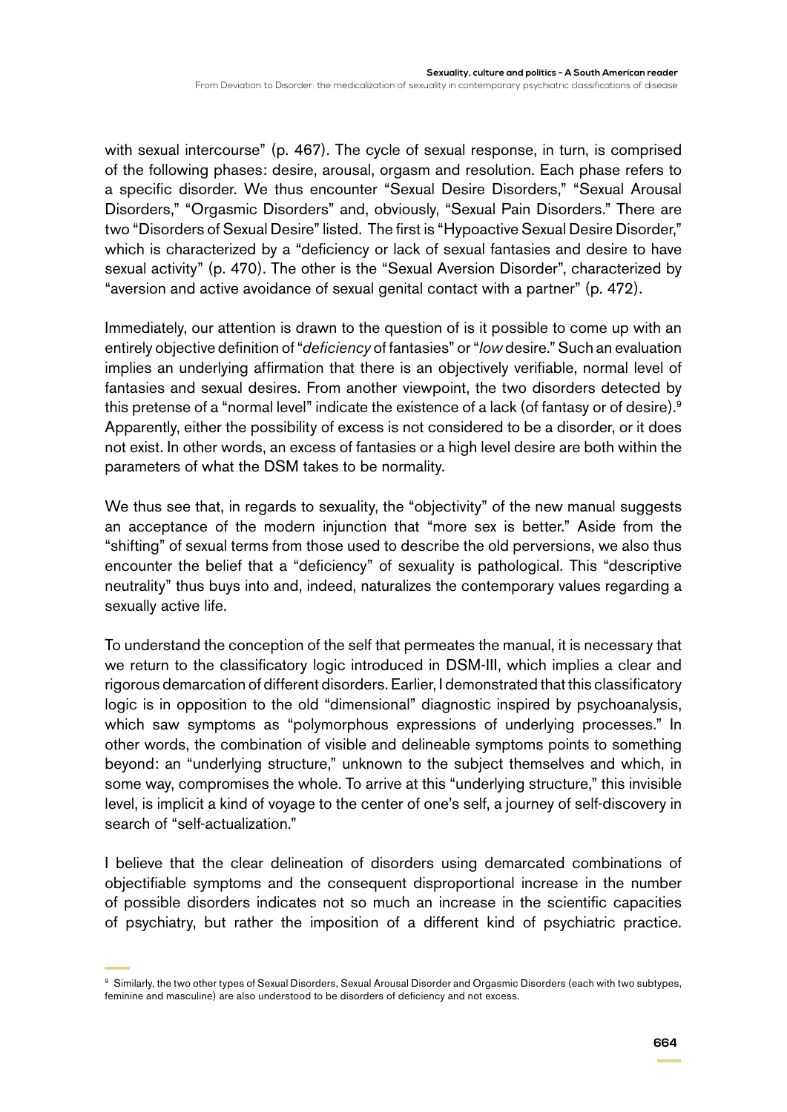with sexual intercourse" (p. 467). The cycle of sexual response, in turn, is comprised of the following phases: desire, arousal, orgasm and resolution. Each phase refers to a specific disorder. We thus encounter "Sexual Desire Disorders," "Sexual Arousal Disorders," "Orgasmic Disorders" and, obviously, "Sexual Pain Disorders." There are two "Disorders of Sexual Desire" listed. The first is "Hypoactive Sexual Desire Disorder," which is characterized by a "deficiency or lack of sexual fantasies and desire to have sexual activity" (p. 470). The other is the "Sexual Aversion Disorder", characterized by "aversion and active avoidance of sexual genital contact with a partner" (p. 472).

Immediately, our attention is drawn to the question of is it possible to come up with an entirely objective definition of "*deficiency* of fantasies" or "*low* desire." Such an evaluation implies an underlying affirmation that there is an objectively verifiable, normal level of fantasies and sexual desires. From another viewpoint, the two disorders detected by this pretense of a "normal level" indicate the existence of a lack (of fantasy or of desire).<sup>9</sup> Apparently, either the possibility of excess is not considered to be a disorder, or it does not exist. In other words, an excess of fantasies or a high level desire are both within the parameters of what the DSM takes to be normality.

We thus see that, in regards to sexuality, the "objectivity" of the new manual suggests an acceptance of the modern injunction that "more sex is better." Aside from the "shifting" of sexual terms from those used to describe the old perversions, we also thus encounter the belief that a "deficiency" of sexuality is pathological. This "descriptive neutrality" thus buys into and, indeed, naturalizes the contemporary values regarding a sexually active life.

To understand the conception of the self that permeates the manual, it is necessary that we return to the classificatory logic introduced in DSM-III, which implies a clear and rigorous demarcation of different disorders. Earlier, I demonstrated that this classificatory logic is in opposition to the old "dimensional" diagnostic inspired by psychoanalysis, which saw symptoms as "polymorphous expressions of underlying processes." In other words, the combination of visible and delineable symptoms points to something beyond: an "underlying structure," unknown to the subject themselves and which, in some way, compromises the whole. To arrive at this "underlying structure," this invisible level, is implicit a kind of voyage to the center of one's self, a journey of self-discovery in search of "self-actualization."

I believe that the clear delineation of disorders using demarcated combinations of objectifiable symptoms and the consequent disproportional increase in the number of possible disorders indicates not so much an increase in the scientific capacities of psychiatry, but rather the imposition of a different kind of psychiatric practice.

<sup>&</sup>lt;sup>9</sup> Similarly, the two other types of Sexual Disorders, Sexual Arousal Disorder and Orgasmic Disorders (each with two subtypes, feminine and masculine) are also understood to be disorders of deficiency and not excess.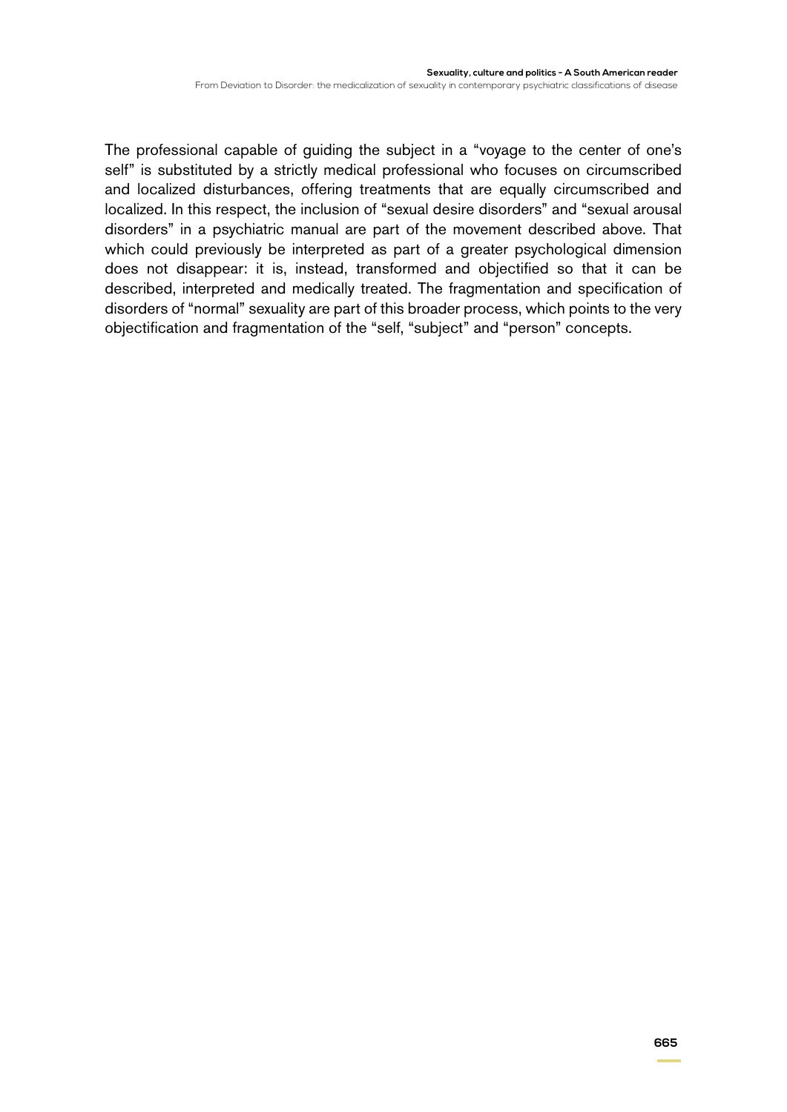The professional capable of guiding the subject in a "voyage to the center of one's self" is substituted by a strictly medical professional who focuses on circumscribed and localized disturbances, offering treatments that are equally circumscribed and localized. In this respect, the inclusion of "sexual desire disorders" and "sexual arousal disorders" in a psychiatric manual are part of the movement described above. That which could previously be interpreted as part of a greater psychological dimension does not disappear: it is, instead, transformed and objectified so that it can be described, interpreted and medically treated. The fragmentation and specification of disorders of "normal" sexuality are part of this broader process, which points to the very objectification and fragmentation of the "self, "subject" and "person" concepts.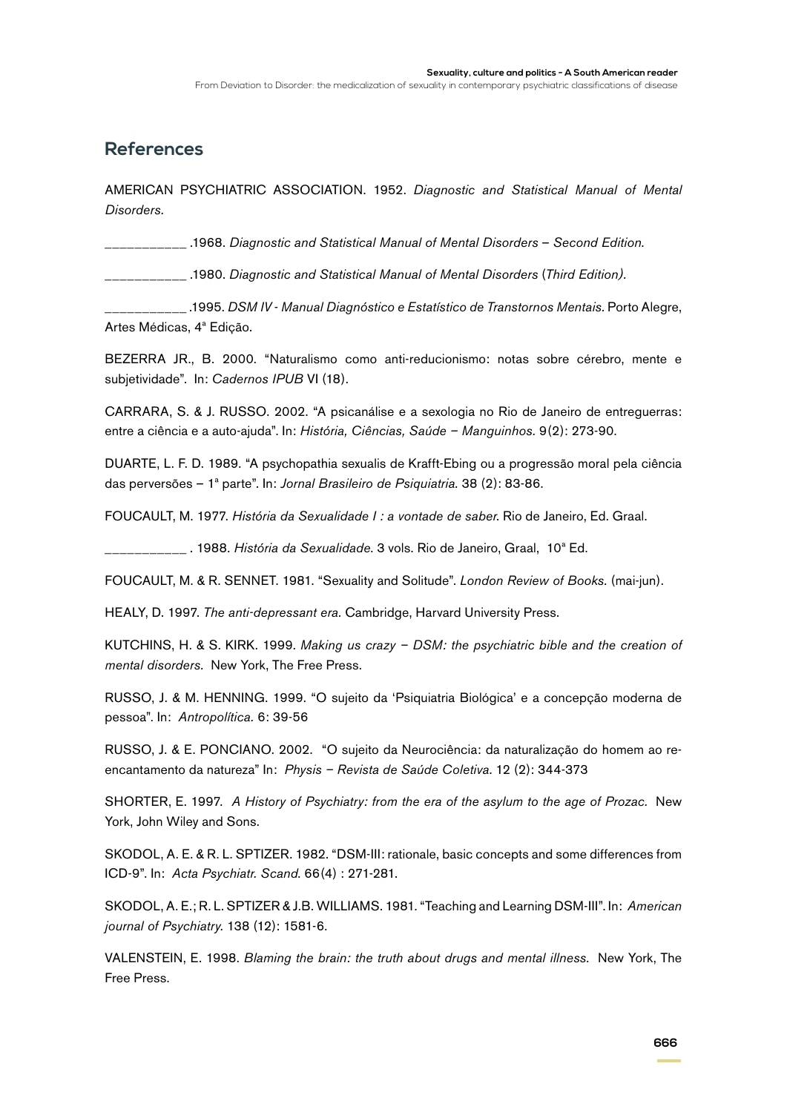From Deviation to Disorder: the medicalization of sexuality in contemporary psychiatric classifications of disease

### **References**

AMERICAN PSYCHIATRIC ASSOCIATION. 1952. *Diagnostic and Statistical Manual of Mental Disorders.*

\_\_\_\_\_\_\_\_\_\_\_ .1968. *Diagnostic and Statistical Manual of Mental Disorders* – *Second Edition.*

\_\_\_\_\_\_\_\_\_\_\_ .1980. *Diagnostic and Statistical Manual of Mental Disorders* (*Third Edition).*

\_\_\_\_\_\_\_\_\_\_\_ .1995. *DSM IV* - *Manual Diagnóstico e Estatístico de Transtornos Mentais.* Porto Alegre, Artes Médicas, 4ª Edição.

BEZERRA JR., B. 2000. "Naturalismo como anti-reducionismo: notas sobre cérebro, mente e subjetividade". In: *Cadernos IPUB* VI (18).

CARRARA, S. & J. RUSSO. 2002. "A psicanálise e a sexologia no Rio de Janeiro de entreguerras: entre a ciência e a auto-ajuda". In: *História, Ciências, Saúde – Manguinhos.* 9(2): 273-90.

DUARTE, L. F. D. 1989. "A psychopathia sexualis de Krafft-Ebing ou a progressão moral pela ciência das perversões – 1ª parte". In: *Jornal Brasileiro de Psiquiatria.* 38 (2): 83-86.

FOUCAULT, M. 1977. *História da Sexualidade I : a vontade de saber*. Rio de Janeiro, Ed. Graal.

\_\_\_\_\_\_\_\_\_\_\_ . 1988. *História da Sexualidade*. 3 vols. Rio de Janeiro, Graal, 10ª Ed.

FOUCAULT, M. & R. SENNET. 1981. "Sexuality and Solitude". *London Review of Books.* (mai-jun).

HEALY, D. 1997. *The anti-depressant era.* Cambridge, Harvard University Press.

KUTCHINS, H. & S. KIRK. 1999. *Making us crazy – DSM: the psychiatric bible and the creation of mental disorders.* New York, The Free Press.

RUSSO, J. & M. HENNING. 1999. "O sujeito da 'Psiquiatria Biológica' e a concepção moderna de pessoa". In: *Antropolítica.* 6: 39-56

RUSSO, J. & E. PONCIANO. 2002. "O sujeito da Neurociência: da naturalização do homem ao reencantamento da natureza" In: *Physis – Revista de Saúde Coletiva*. 12 (2): 344-373

SHORTER, E. 1997. *A History of Psychiatry: from the era of the asylum to the age of Prozac.* New York, John Wiley and Sons.

SKODOL, A. E. & R. L. SPTIZER. 1982. "DSM-III: rationale, basic concepts and some differences from ICD-9". In: *Acta Psychiatr. Scand*. 66(4) : 271-281.

SKODOL, A. E.; R. L. SPTIZER & J.B. WILLIAMS. 1981. "Teaching and Learning DSM-III". In: *American journal of Psychiatry.* 138 (12): 1581-6.

VALENSTEIN, E. 1998. *Blaming the brain: the truth about drugs and mental illness.* New York, The Free Press.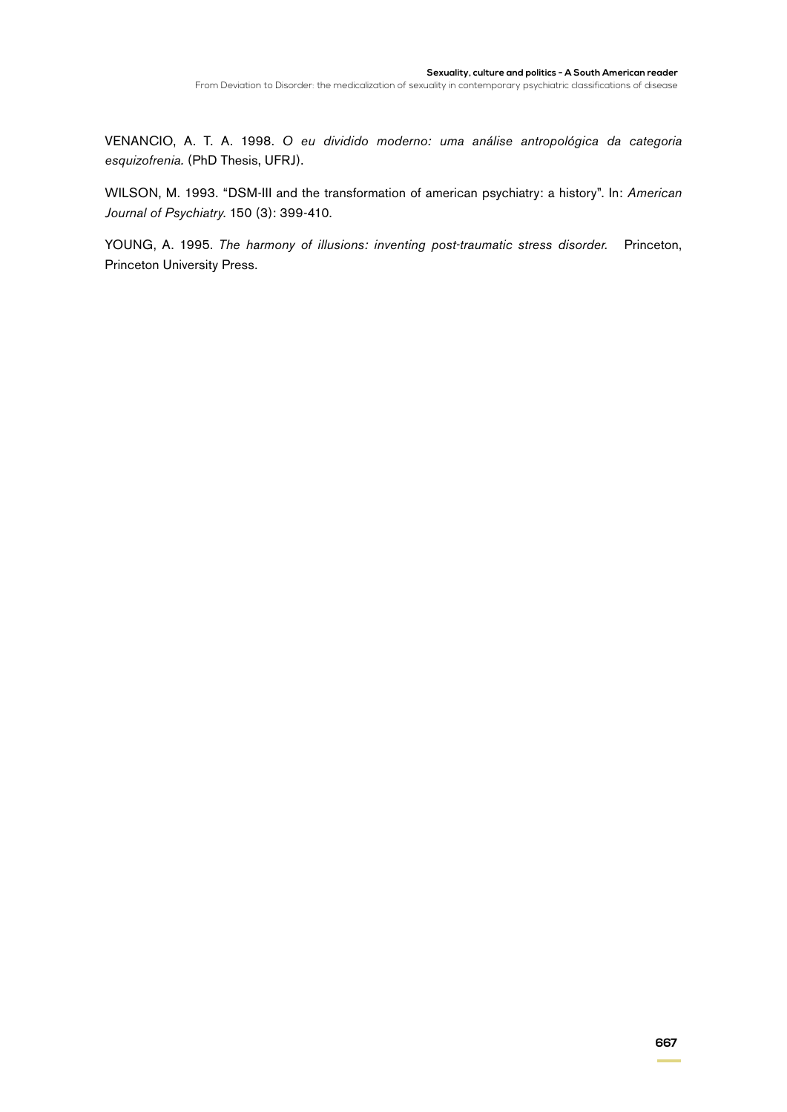VENANCIO, A. T. A. 1998. *O eu dividido moderno: uma análise antropológica da categoria esquizofrenia.* (PhD Thesis, UFRJ).

WILSON, M. 1993. "DSM-III and the transformation of american psychiatry: a history". In: *American Journal of Psychiatry*. 150 (3): 399-410.

YOUNG, A. 1995. *The harmony of illusions: inventing post-traumatic stress disorder.* Princeton, Princeton University Press.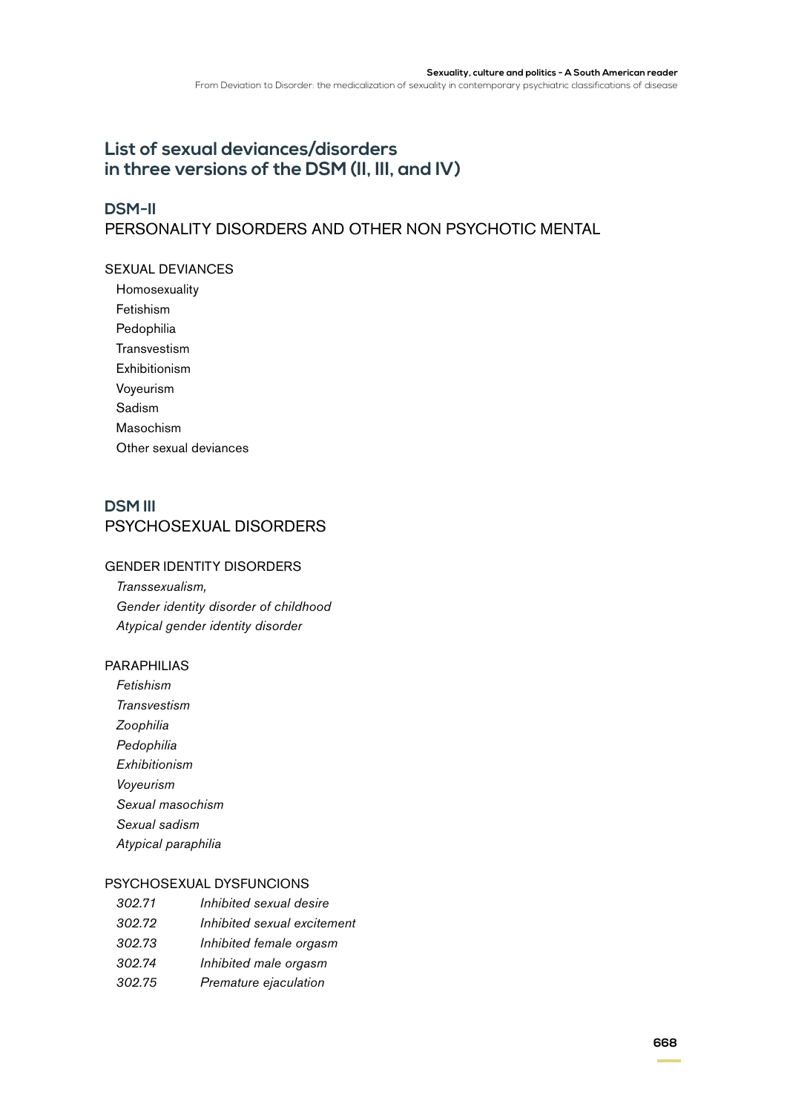# **List of sexual deviances/disorders in three versions of the DSM (II, III, and IV)**

### **DSM-II**

# PERSONALITY DISORDERS AND OTHER NON PSYCHOTIC MENTAL

### SEXUAL DEVIANCES

Homosexuality Fetishism Pedophilia Transvestism Exhibitionism Voyeurism Sadism Masochism Other sexual deviances

### **DSM III** PSYCHOSEXUAL DISORDERS

### GENDER IDENTITY DISORDERS

*Transsexualism, Gender identity disorder of childhood Atypical gender identity disorder*

### PARAPHILIAS

*Fetishism Transvestism Zoophilia Pedophilia Exhibitionism Voyeurism Sexual masochism Sexual sadism Atypical paraphilia*

### PSYCHOSEXUAL DYSFUNCIONS

| 302.71 | Inhibited sexual desire     |
|--------|-----------------------------|
| 302.72 | Inhibited sexual excitement |
| 302.73 | Inhibited female orgasm     |
| 302.74 | Inhibited male orgasm       |
| 302.75 | Premature ejaculation       |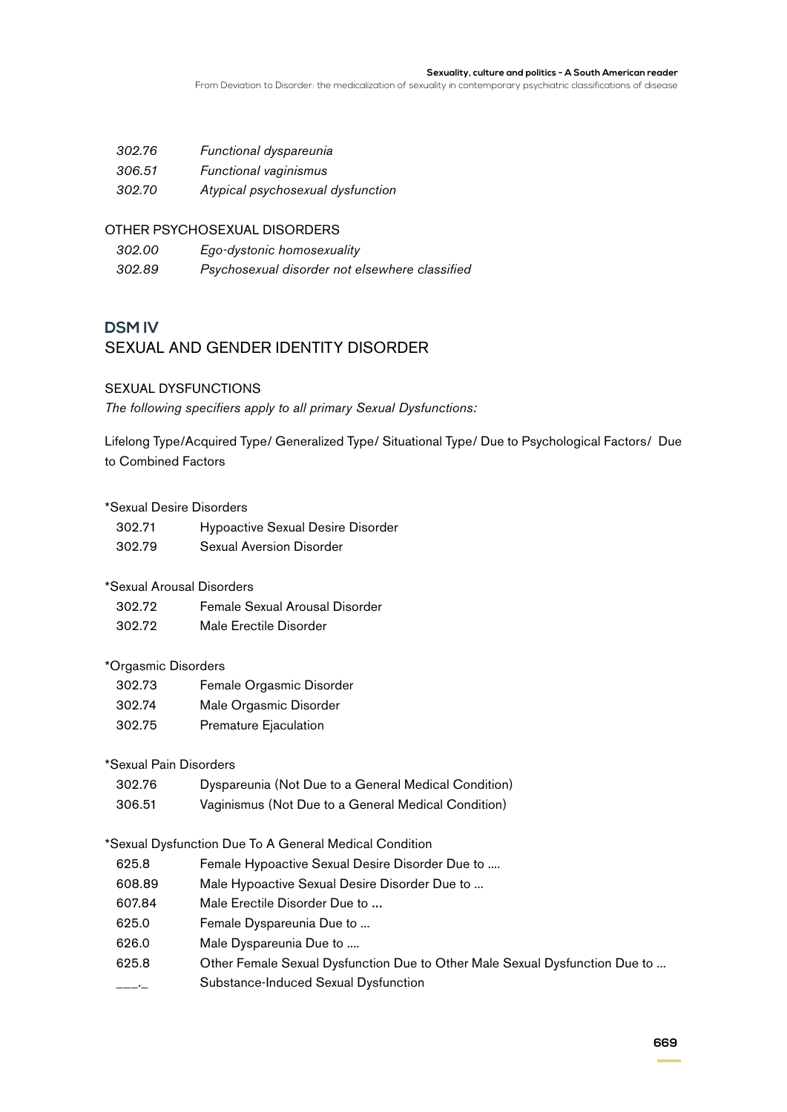#### **Sexuality, culture and politics - A South American reader**

From Deviation to Disorder: the medicalization of sexuality in contemporary psychiatric classifications of disease

| 302.76 | Functional dyspareunia            |
|--------|-----------------------------------|
| 306.51 | Functional vaginismus             |
| 302.70 | Atypical psychosexual dysfunction |

### OTHER PSYCHOSEXUAL DISORDERS

| 302.00 | Ego-dystonic homosexuality                     |
|--------|------------------------------------------------|
| 302.89 | Psychosexual disorder not elsewhere classified |

### **DSM IV**

### SEXUAL AND GENDER IDENTITY DISORDER

### SEXUAL DYSFUNCTIONS

*The following specifiers apply to all primary Sexual Dysfunctions:*

Lifelong Type/Acquired Type/ Generalized Type/ Situational Type/ Due to Psychological Factors/ Due to Combined Factors

### \*Sexual Desire Disorders

| 302.71 | <b>Hypoactive Sexual Desire Disorder</b> |
|--------|------------------------------------------|
| 302.79 | Sexual Aversion Disorder                 |

### \*Sexual Arousal Disorders

- 302.72 Female Sexual Arousal Disorder
- 302.72 Male Erectile Disorder

### \*Orgasmic Disorders

| 302.73 | Female Orgasmic Disorder |
|--------|--------------------------|
| 302.74 | Male Orgasmic Disorder   |
| 302.75 | Premature Ejaculation    |

### \*Sexual Pain Disorders

- 302.76 Dyspareunia (Not Due to a General Medical Condition)
- 306.51 Vaginismus (Not Due to a General Medical Condition)

### \*Sexual Dysfunction Due To A General Medical Condition

- 625.8 Female Hypoactive Sexual Desire Disorder Due to ....
- 608.89 Male Hypoactive Sexual Desire Disorder Due to ...
- 607.84 Male Erectile Disorder Due to ...
- 625.0 Female Dyspareunia Due to ...
- 626.0 Male Dyspareunia Due to ....
- 625.8 Other Female Sexual Dysfunction Due to Other Male Sexual Dysfunction Due to ...
- \_\_\_.\_ Substance-Induced Sexual Dysfunction